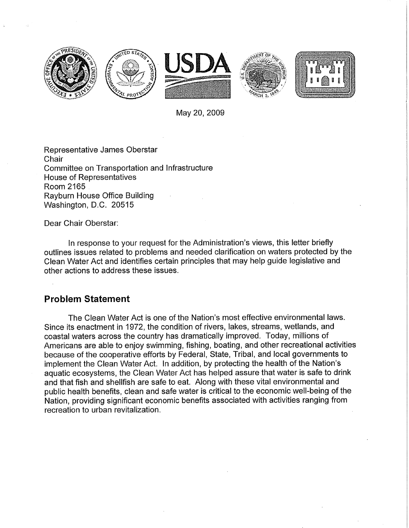

May 20,2009

Representative James Oberstar **Chair** Committee on Transportation and Infrastructure House of Representatives Room 2165 Rayburn House Office Building Washington, D.C. 20515

Dear Chair Oberstar:

In response to your request for the Administration's views, this letter briefly outlines issues related to problems and needed clarification on waters protected by the Clean Water Act and identifies certain principles that may help guide legislative and other actions to address these issues.

## **Problem Statement**

The Clean Water Act is one of the Nation's most effective environmental laws. Since its enactment in 1972, the condition of rivers, lakes, streams, wetlands, and coastal waters across the country has dramatically improved. Today, millions of Americans are able to enjoy swimming, fishing, boating, and other recreational activities because of the cooperative efforts by Federal, State, Tribal, and local governments to implement the Clean Water Act. In addition, by protecting the health of the Nation's aquatic ecosystems, the Clean Water Act has helped assure that water is safe to drink and that fish and shellfish are safe to eat. Along with these vital environmental and public health benefits, clean and safe water is critical to the economic well-being of the Nation, providing significant economic benefits associated with activities ranging from recreation to urban revitalization.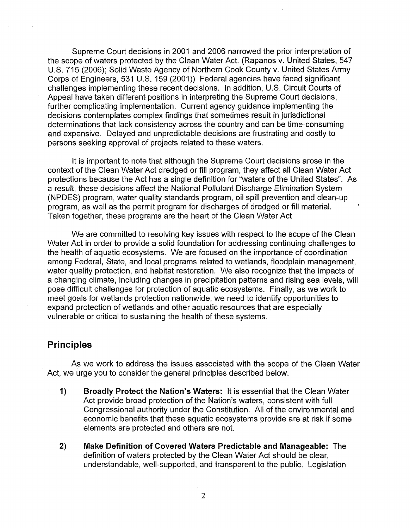Supreme Court decisions in 2001 and 2006 narrowed the prior interpretation of the scope of waters protected by the Clean Water Act. (Rapanos v. United States, 547 U.S. 715 (2006); Solid Waste Agency of Northern Cook County v. United States Army Corps of Engineers, 531 U.S. 159 (2001)) Federal agencies have faced significant challenges implementing these recent decisions. In addition, U.S. Circuit Courts of Appeal have taken different positions in interpreting the Supreme Court decisions, further complicating implementation. Current agency guidance implementing the decisions contemplates complex findings that sometimes result in jurisdictional determinations that lack consistency across the country and can be time-consuming and expensive. Delayed and unpredictable decisions are frustrating and costly to persons seeking approval of projects related to these waters.

It is important to note that although the Supreme Court decisions arose in the context of the Clean Water Act dredged or fill program, they affect all Clean Water Act protections because the Act has a single definition for "waters of the United States". As a result, these decisions affect the National Pollutant Discharge Elimination System (NPDES) program, water quality standards program, oil spill prevention and clean-up program, as well as the permit program for discharges of dredged or fill material. Taken together, these programs are the heart of the Clean Water Act

We are committed to resolving key issues with respect to the scope of the Clean Water Act in order to provide a solid foundation for addressing continuing challenges to the health of aquatic ecosystems. We are focused on the importance of coordination among Federal, State, and local programs related to wetlands, floodplain management, water quality protection, and habitat restoration. We also recognize that the impacts of a changing climate, including changes in precipitation patterns and rising sea levels, will pose difficult challenges for protection of aquatic ecosystems. Finally, as we work to meet goals for wetlands protection nationwide, we need to identify opportunities to expand protection of wetlands and other aquatic resources that are especially vulnerable or critical to sustaining the health of these systems.

## **Principles**

As we work to address the issues associated with the scope of the Clean Water Act, we urge you to consider the general principles described below.

- **1) Broadly Protect the Nation's Waters:** It is essential that the Clean Water Act provide broad protection of the Nation's waters, consistent with full Congressional authority under the Constitution. All of the environmental and economic benefits that these aquatic ecosystems provide are at risk if some elements are protected and others are not.
- **2) Make Definition of Covered Waters Predictable and Manageable:** The definition of waters protected by the Clean Water Act should be clear, understandable, well-supported, and transparent to the public. Legislation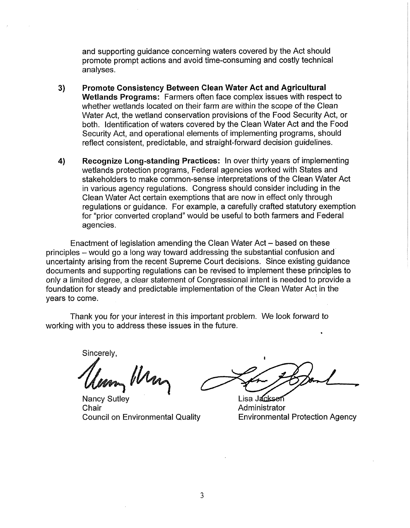and supporting guidance concerning waters covered by the Act should promote prompt actions and avoid time-consuming and costly technical analyses.

- **3) Promote Consistency Between Clean Water Act and Agricultural Wetlands Programs:** Farmers often face complex issues with respect to whether wetlands located on their farm are within the scope of the Clean Water Act, the wetland conservation provisions of the Food Security Act, or both. Identification of waters covered by the Clean Water Act and the Food Security Act, and operational elements of implementing programs, should reflect consistent, predictable, and straight-forward decision guidelines.
- **4) Recognize Long-standing Practices:** In over thirty years of implementing wetlands protection programs, Federal agencies worked with States and stakeholders to make common-sense interpretations of the Clean Water Act in various agency regulations. Congress should consider including in the Clean Water Act certain exemptions that are now in effect only through regulations or guidance. For example, a carefully crafted statutory exemption for "prior converted cropland" would be useful to both farmers and Federal agencies.

Enactment of legislation amending the Clean Water Act – based on these principles - would go a long way toward addressing the substantial confusion and uncertainty arising from the recent Supreme Court decisions. Since existing guidance documents and supporting regulations can be revised to implement these principles to only a limited degree, a clear statement of Congressional intent is needed to provide a foundation for steady and predictable implementation of the Clean Water Act in the years to come.

Thank you for your interest in this important problem. We look forward to working with you to address these issues in the future.

Sincerelv.

Nancy Sutley Chair **Chair Administrator Administrator** 

**I** 

Lisa Jacksen Council on Environmental Quality Environmental Protection Agency